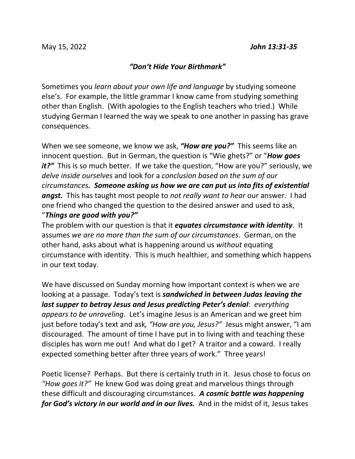## *"Don't Hide Your Birthmark"*

Sometimes you *learn about your own life and language* by studying someone else's. For example, the little grammar I know came from studying something other than English. (With apologies to the English teachers who tried.) While studying German I learned the way we speak to one another in passing has grave consequences.

When we see someone, we know we ask, *"How are you?"* This seems like an innocent question. But in German, the question is "Wie ghets?" or "*How goes it?*" This is so much better. If we take the question, "How are you?" seriously, we *delve inside ourselves* and look for a *conclusion based on the sum of our circumstances. Someone asking us how we are can put us into fits of existential angst.* This has taught most people to *not really want to hear* our answer. I had one friend who changed the question to the desired answer and used to ask, "*Things are good with you?"*

The problem with our question is that it *equates circumstance with identity*. It assumes *we are no more than the sum of our circumstances*. German, on the other hand, asks about what is happening around us *without* equating circumstance with identity. This is much healthier, and something which happens in our text today.

We have discussed on Sunday morning how important context is when we are looking at a passage. Today's text is *sandwiched in between Judas leaving the last supper to betray Jesus and Jesus predicting Peter's denial*: *everything appears to be unraveling*. Let's imagine Jesus is an American and we greet him just before today's text and ask*, "How are you, Jesus?"* Jesus might answer, "I am discouraged. The amount of time I have put in to living with and teaching these disciples has worn me out! And what do I get? A traitor and a coward. I really expected something better after three years of work." Three years!

Poetic license? Perhaps. But there is certainly truth in it. Jesus chose to focus on *"How goes it?"* He knew God was doing great and marvelous things through these difficult and discouraging circumstances. *A cosmic battle was happening for God's victory in our world and in our lives.* And in the midst of it, Jesus takes